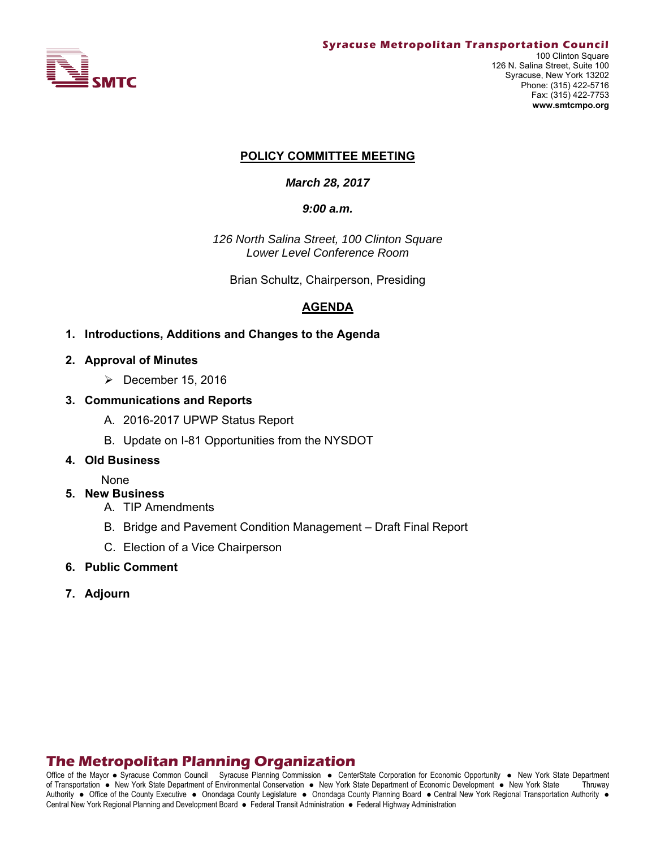

#### **POLICY COMMITTEE MEETING**

*March 28, 2017* 

#### *9:00 a.m.*

*126 North Salina Street, 100 Clinton Square Lower Level Conference Room*

Brian Schultz, Chairperson, Presiding

# **AGENDA**

#### **1. Introductions, Additions and Changes to the Agenda**

- **2. Approval of Minutes** 
	- $\triangleright$  December 15, 2016
- **3. Communications and Reports** 
	- A. 2016-2017 UPWP Status Report
	- B. Update on I-81 Opportunities from the NYSDOT

#### **4. Old Business**

#### None

#### **5. New Business**

- A. TIP Amendments
- B. Bridge and Pavement Condition Management Draft Final Report
- C. Election of a Vice Chairperson
- **6. Public Comment**
- **7. Adjourn**

# **The Metropolitan Planning Organization**

Office of the Mayor • Syracuse Common Council Syracuse Planning Commission • CenterState Corporation for Economic Opportunity • New York State Department of Transportation New York State Department of Environmental Conservation New York State Department of Economic Development New York State Thruway Authority . Office of the County Executive . Onondaga County Legislature . Onondaga County Planning Board . Central New York Regional Transportation Authority . Central New York Regional Planning and Development Board · Federal Transit Administration · Federal Highway Administration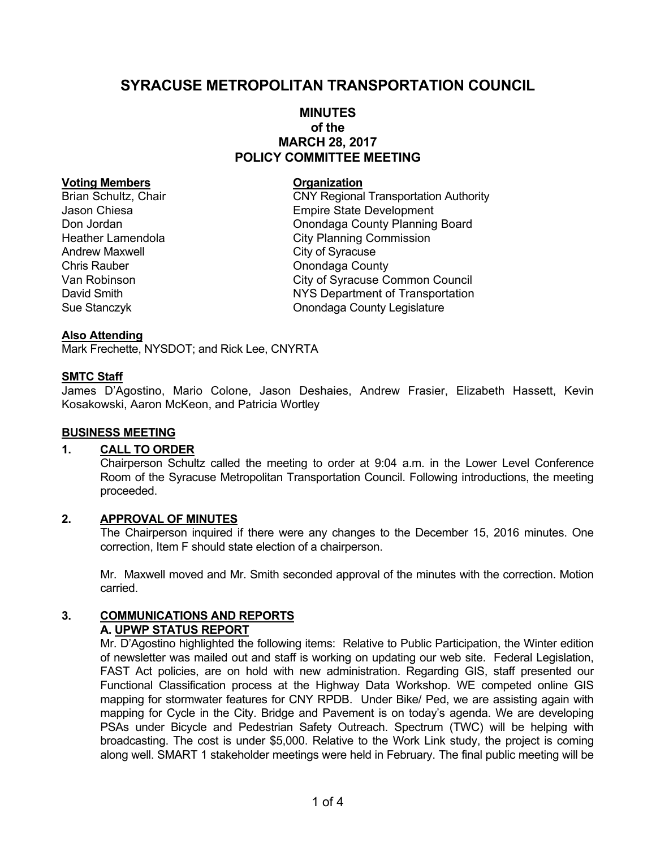# **SYRACUSE METROPOLITAN TRANSPORTATION COUNCIL**

## **MINUTES of the MARCH 28, 2017 POLICY COMMITTEE MEETING**

#### **Voting Members Construction Construction Construction**

Andrew Maxwell **Andrew Maxwell** City of Syracuse Chris Rauber **Chris Rauber** Chris Rauber **Chris Rauber** Chris Rauber **Chris Rauber** Chris Rauber Chris Rauber Chris Rauber Chris Rauber Chris Rauber Chris Rauber Chris Rauber Chris Rauber Chris Rauber Chris Rauber Chris Ra

Brian Schultz, Chair **CNY Regional Transportation Authority** Jason Chiesa **Empire State Development** Don Jordan **Don Jordan County Planning Board** Heather Lamendola **City Planning Commission** Van Robinson **Van Robinson** City of Syracuse Common Council David Smith NYS Department of Transportation Sue Stanczyk Onondaga County Legislature

#### **Also Attending**

Mark Frechette, NYSDOT; and Rick Lee, CNYRTA

## **SMTC Staff**

James D'Agostino, Mario Colone, Jason Deshaies, Andrew Frasier, Elizabeth Hassett, Kevin Kosakowski, Aaron McKeon, and Patricia Wortley

#### **BUSINESS MEETING**

#### **1. CALL TO ORDER**

Chairperson Schultz called the meeting to order at 9:04 a.m. in the Lower Level Conference Room of the Syracuse Metropolitan Transportation Council. Following introductions, the meeting proceeded.

## **2. APPROVAL OF MINUTES**

The Chairperson inquired if there were any changes to the December 15, 2016 minutes. One correction, Item F should state election of a chairperson.

Mr. Maxwell moved and Mr. Smith seconded approval of the minutes with the correction. Motion carried.

#### **3. COMMUNICATIONS AND REPORTS A. UPWP STATUS REPORT**

Mr. D'Agostino highlighted the following items: Relative to Public Participation, the Winter edition of newsletter was mailed out and staff is working on updating our web site. Federal Legislation, FAST Act policies, are on hold with new administration. Regarding GIS, staff presented our Functional Classification process at the Highway Data Workshop. WE competed online GIS mapping for stormwater features for CNY RPDB. Under Bike/ Ped, we are assisting again with mapping for Cycle in the City. Bridge and Pavement is on today's agenda. We are developing PSAs under Bicycle and Pedestrian Safety Outreach. Spectrum (TWC) will be helping with broadcasting. The cost is under \$5,000. Relative to the Work Link study, the project is coming along well. SMART 1 stakeholder meetings were held in February. The final public meeting will be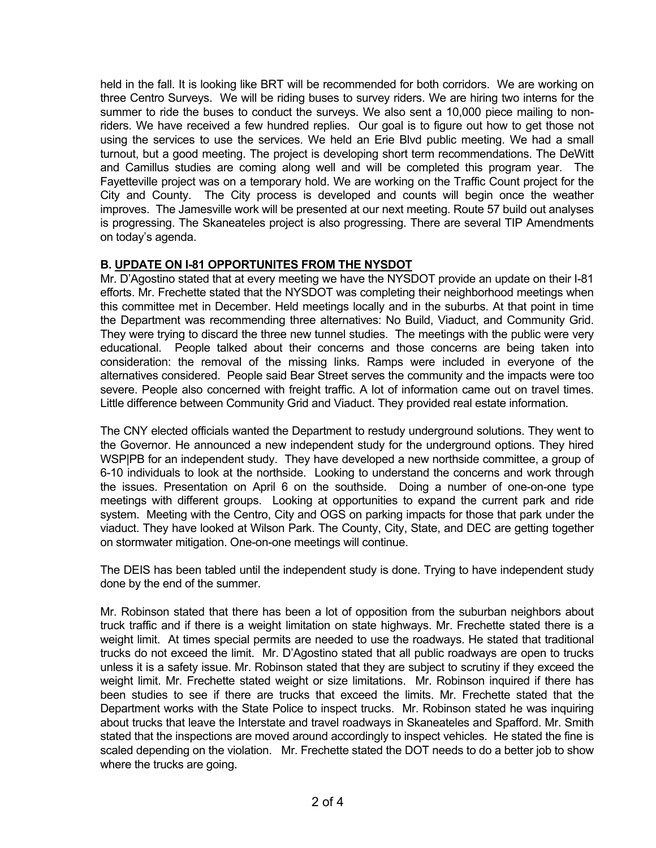held in the fall. It is looking like BRT will be recommended for both corridors. We are working on three Centro Surveys. We will be riding buses to survey riders. We are hiring two interns for the summer to ride the buses to conduct the surveys. We also sent a 10,000 piece mailing to nonriders. We have received a few hundred replies. Our goal is to figure out how to get those not using the services to use the services. We held an Erie Blvd public meeting. We had a small turnout, but a good meeting. The project is developing short term recommendations. The DeWitt and Camillus studies are coming along well and will be completed this program year. The Fayetteville project was on a temporary hold. We are working on the Traffic Count project for the City and County. The City process is developed and counts will begin once the weather improves. The Jamesville work will be presented at our next meeting. Route 57 build out analyses is progressing. The Skaneateles project is also progressing. There are several TIP Amendments on today's agenda.

# **B. UPDATE ON I-81 OPPORTUNITES FROM THE NYSDOT**

Mr. D'Agostino stated that at every meeting we have the NYSDOT provide an update on their I-81 efforts. Mr. Frechette stated that the NYSDOT was completing their neighborhood meetings when this committee met in December. Held meetings locally and in the suburbs. At that point in time the Department was recommending three alternatives: No Build, Viaduct, and Community Grid. They were trying to discard the three new tunnel studies. The meetings with the public were very educational. People talked about their concerns and those concerns are being taken into consideration: the removal of the missing links. Ramps were included in everyone of the alternatives considered. People said Bear Street serves the community and the impacts were too severe. People also concerned with freight traffic. A lot of information came out on travel times. Little difference between Community Grid and Viaduct. They provided real estate information.

The CNY elected officials wanted the Department to restudy underground solutions. They went to the Governor. He announced a new independent study for the underground options. They hired WSP|PB for an independent study. They have developed a new northside committee, a group of 6-10 individuals to look at the northside. Looking to understand the concerns and work through the issues. Presentation on April 6 on the southside. Doing a number of one-on-one type meetings with different groups. Looking at opportunities to expand the current park and ride system. Meeting with the Centro, City and OGS on parking impacts for those that park under the viaduct. They have looked at Wilson Park. The County, City, State, and DEC are getting together on stormwater mitigation. One-on-one meetings will continue.

The DEIS has been tabled until the independent study is done. Trying to have independent study done by the end of the summer.

Mr. Robinson stated that there has been a lot of opposition from the suburban neighbors about truck traffic and if there is a weight limitation on state highways. Mr. Frechette stated there is a weight limit. At times special permits are needed to use the roadways. He stated that traditional trucks do not exceed the limit. Mr. D'Agostino stated that all public roadways are open to trucks unless it is a safety issue. Mr. Robinson stated that they are subject to scrutiny if they exceed the weight limit. Mr. Frechette stated weight or size limitations. Mr. Robinson inquired if there has been studies to see if there are trucks that exceed the limits. Mr. Frechette stated that the Department works with the State Police to inspect trucks. Mr. Robinson stated he was inquiring about trucks that leave the Interstate and travel roadways in Skaneateles and Spafford. Mr. Smith stated that the inspections are moved around accordingly to inspect vehicles. He stated the fine is scaled depending on the violation. Mr. Frechette stated the DOT needs to do a better job to show where the trucks are going.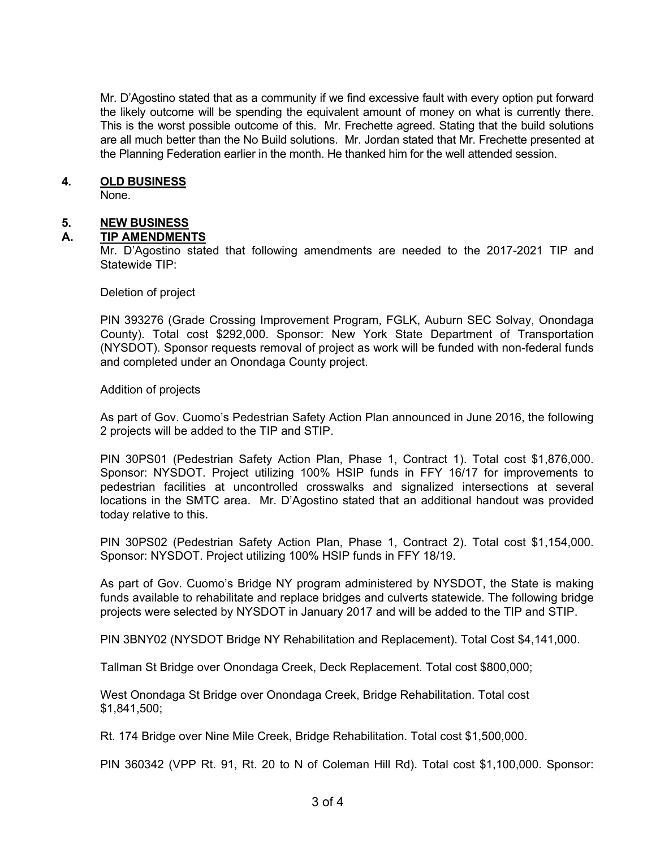Mr. D'Agostino stated that as a community if we find excessive fault with every option put forward the likely outcome will be spending the equivalent amount of money on what is currently there. This is the worst possible outcome of this. Mr. Frechette agreed. Stating that the build solutions are all much better than the No Build solutions. Mr. Jordan stated that Mr. Frechette presented at the Planning Federation earlier in the month. He thanked him for the well attended session.

## **4. OLD BUSINESS**

None.

## **5. NEW BUSINESS**

## **A. TIP AMENDMENTS**

Mr. D'Agostino stated that following amendments are needed to the 2017-2021 TIP and Statewide TIP:

Deletion of project

PIN 393276 (Grade Crossing Improvement Program, FGLK, Auburn SEC Solvay, Onondaga County). Total cost \$292,000. Sponsor: New York State Department of Transportation (NYSDOT). Sponsor requests removal of project as work will be funded with non-federal funds and completed under an Onondaga County project.

Addition of projects

As part of Gov. Cuomo's Pedestrian Safety Action Plan announced in June 2016, the following 2 projects will be added to the TIP and STIP.

PIN 30PS01 (Pedestrian Safety Action Plan, Phase 1, Contract 1). Total cost \$1,876,000. Sponsor: NYSDOT. Project utilizing 100% HSIP funds in FFY 16/17 for improvements to pedestrian facilities at uncontrolled crosswalks and signalized intersections at several locations in the SMTC area. Mr. D'Agostino stated that an additional handout was provided today relative to this.

PIN 30PS02 (Pedestrian Safety Action Plan, Phase 1, Contract 2). Total cost \$1,154,000. Sponsor: NYSDOT. Project utilizing 100% HSIP funds in FFY 18/19.

As part of Gov. Cuomo's Bridge NY program administered by NYSDOT, the State is making funds available to rehabilitate and replace bridges and culverts statewide. The following bridge projects were selected by NYSDOT in January 2017 and will be added to the TIP and STIP.

PIN 3BNY02 (NYSDOT Bridge NY Rehabilitation and Replacement). Total Cost \$4,141,000.

Tallman St Bridge over Onondaga Creek, Deck Replacement. Total cost \$800,000;

West Onondaga St Bridge over Onondaga Creek, Bridge Rehabilitation. Total cost \$1,841,500;

Rt. 174 Bridge over Nine Mile Creek, Bridge Rehabilitation. Total cost \$1,500,000.

PIN 360342 (VPP Rt. 91, Rt. 20 to N of Coleman Hill Rd). Total cost \$1,100,000. Sponsor: